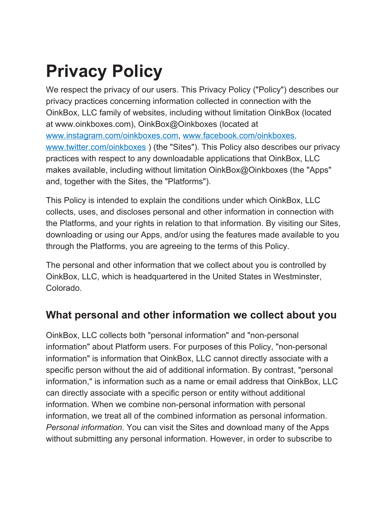# **Privacy Policy**

We respect the privacy of our users. This Privacy Policy ("Policy") describes our privacy practices concerning information collected in connection with the OinkBox, LLC family of websites, including without limitation OinkBox (located at www.oinkboxes.com), OinkBox@Oinkboxes (located at [www.instagram.com/oinkboxes.com](http://www.instagram.com/oinkboxes.com), [www.facebook.com/oinkboxes](http://www.facebook.com/oinkboxes), [www.twitter.com/oinkboxes](http://www.twitter.com/oinkboxes) ) (the "Sites"). This Policy also describes our privacy practices with respect to any downloadable applications that OinkBox, LLC makes available, including without limitation OinkBox@Oinkboxes (the "Apps" and, together with the Sites, the "Platforms").

This Policy is intended to explain the conditions under which OinkBox, LLC collects, uses, and discloses personal and other information in connection with the Platforms, and your rights in relation to that information. By visiting our Sites, downloading or using our Apps, and/or using the features made available to you through the Platforms, you are agreeing to the terms of this Policy.

The personal and other information that we collect about you is controlled by OinkBox, LLC, which is headquartered in the United States in Westminster, Colorado.

## **What personal and other information we collect about you**

OinkBox, LLC collects both "personal information" and "non-personal information" about Platform users. For purposes of this Policy, "non-personal information" is information that OinkBox, LLC cannot directly associate with a specific person without the aid of additional information. By contrast, "personal information," is information such as a name or email address that OinkBox, LLC can directly associate with a specific person or entity without additional information. When we combine non-personal information with personal information, we treat all of the combined information as personal information. *Personal information.* You can visit the Sites and download many of the Apps without submitting any personal information. However, in order to subscribe to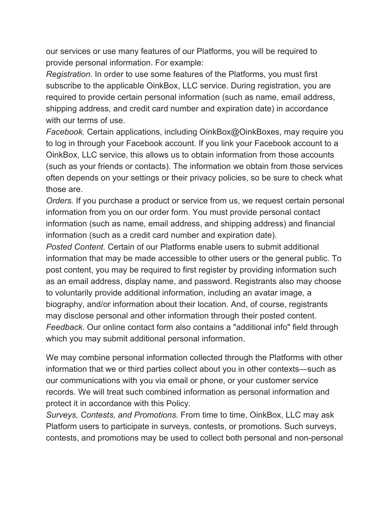our services or use many features of our Platforms, you will be required to provide personal information. For example:

*Registration.* In order to use some features of the Platforms, you must first subscribe to the applicable OinkBox, LLC service. During registration, you are required to provide certain personal information (such as name, email address, shipping address, and credit card number and expiration date) in accordance with our terms of use.

*Facebook.* Certain applications, including OinkBox@OinkBoxes, may require you to log in through your Facebook account. If you link your Facebook account to a OinkBox, LLC service, this allows us to obtain information from those accounts (such as your friends or contacts). The information we obtain from those services often depends on your settings or their privacy policies, so be sure to check what those are.

*Orders.* If you purchase a product or service from us, we request certain personal information from you on our order form. You must provide personal contact information (such as name, email address, and shipping address) and financial information (such as a credit card number and expiration date).

*Posted Content.* Certain of our Platforms enable users to submit additional information that may be made accessible to other users or the general public. To post content, you may be required to first register by providing information such as an email address, display name, and password. Registrants also may choose to voluntarily provide additional information, including an avatar image, a biography, and/or information about their location. And, of course, registrants may disclose personal and other information through their posted content. *Feedback.* Our online contact form also contains a "additional info" field through which you may submit additional personal information.

We may combine personal information collected through the Platforms with other information that we or third parties collect about you in other contexts—such as our communications with you via email or phone, or your customer service records. We will treat such combined information as personal information and protect it in accordance with this Policy.

*Surveys, Contests, and Promotions.* From time to time, OinkBox, LLC may ask Platform users to participate in surveys, contests, or promotions. Such surveys, contests, and promotions may be used to collect both personal and non-personal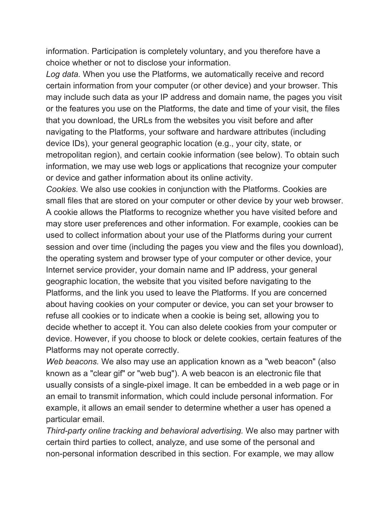information. Participation is completely voluntary, and you therefore have a choice whether or not to disclose your information.

*Log data.* When you use the Platforms, we automatically receive and record certain information from your computer (or other device) and your browser. This may include such data as your IP address and domain name, the pages you visit or the features you use on the Platforms, the date and time of your visit, the files that you download, the URLs from the websites you visit before and after navigating to the Platforms, your software and hardware attributes (including device IDs), your general geographic location (e.g., your city, state, or metropolitan region), and certain cookie information (see below). To obtain such information, we may use web logs or applications that recognize your computer or device and gather information about its online activity.

*Cookies.* We also use cookies in conjunction with the Platforms. Cookies are small files that are stored on your computer or other device by your web browser. A cookie allows the Platforms to recognize whether you have visited before and may store user preferences and other information. For example, cookies can be used to collect information about your use of the Platforms during your current session and over time (including the pages you view and the files you download), the operating system and browser type of your computer or other device, your Internet service provider, your domain name and IP address, your general geographic location, the website that you visited before navigating to the Platforms, and the link you used to leave the Platforms. If you are concerned about having cookies on your computer or device, you can set your browser to refuse all cookies or to indicate when a cookie is being set, allowing you to decide whether to accept it. You can also delete cookies from your computer or device. However, if you choose to block or delete cookies, certain features of the Platforms may not operate correctly.

*Web beacons.* We also may use an application known as a "web beacon" (also known as a "clear gif" or "web bug"). A web beacon is an electronic file that usually consists of a single-pixel image. It can be embedded in a web page or in an email to transmit information, which could include personal information. For example, it allows an email sender to determine whether a user has opened a particular email.

*Third-party online tracking and behavioral advertising.* We also may partner with certain third parties to collect, analyze, and use some of the personal and non-personal information described in this section. For example, we may allow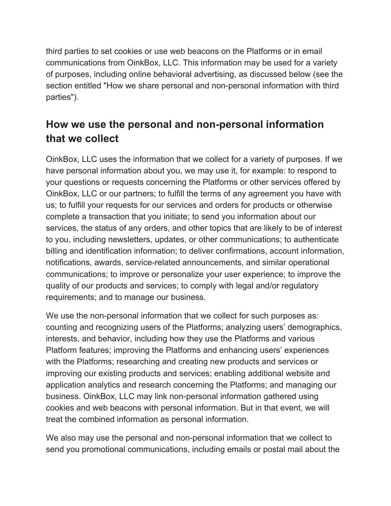third parties to set cookies or use web beacons on the Platforms or in email communications from OinkBox, LLC. This information may be used for a variety of purposes, including online behavioral advertising, as discussed below (see the section entitled "How we share personal and non-personal information with third parties").

# **How we use the personal and non-personal information that we collect**

OinkBox, LLC uses the information that we collect for a variety of purposes. If we have personal information about you, we may use it, for example: to respond to your questions or requests concerning the Platforms or other services offered by OinkBox, LLC or our partners; to fulfill the terms of any agreement you have with us; to fulfill your requests for our services and orders for products or otherwise complete a transaction that you initiate; to send you information about our services, the status of any orders, and other topics that are likely to be of interest to you, including newsletters, updates, or other communications; to authenticate billing and identification information; to deliver confirmations, account information, notifications, awards, service-related announcements, and similar operational communications; to improve or personalize your user experience; to improve the quality of our products and services; to comply with legal and/or regulatory requirements; and to manage our business.

We use the non-personal information that we collect for such purposes as: counting and recognizing users of the Platforms; analyzing users' demographics, interests, and behavior, including how they use the Platforms and various Platform features; improving the Platforms and enhancing users' experiences with the Platforms; researching and creating new products and services or improving our existing products and services; enabling additional website and application analytics and research concerning the Platforms; and managing our business. OinkBox, LLC may link non-personal information gathered using cookies and web beacons with personal information. But in that event, we will treat the combined information as personal information.

We also may use the personal and non-personal information that we collect to send you promotional communications, including emails or postal mail about the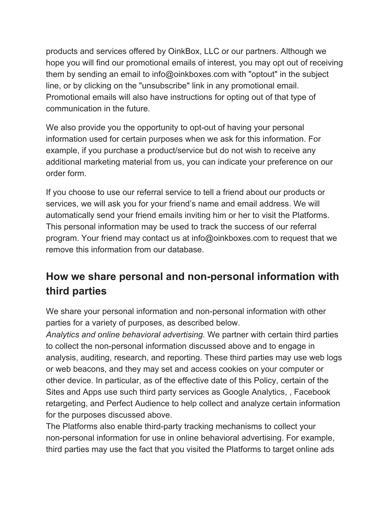products and services offered by OinkBox, LLC or our partners. Although we hope you will find our promotional emails of interest, you may opt out of receiving them by sending an email to info@oinkboxes.com with "optout" in the subject line, or by clicking on the "unsubscribe" link in any promotional email. Promotional emails will also have instructions for opting out of that type of communication in the future.

We also provide you the opportunity to opt-out of having your personal information used for certain purposes when we ask for this information. For example, if you purchase a product/service but do not wish to receive any additional marketing material from us, you can indicate your preference on our order form.

If you choose to use our referral service to tell a friend about our products or services, we will ask you for your friend's name and email address. We will automatically send your friend emails inviting him or her to visit the Platforms. This personal information may be used to track the success of our referral program. Your friend may contact us at info@oinkboxes.com to request that we remove this information from our database.

# **How we share personal and non-personal information with third parties**

We share your personal information and non-personal information with other parties for a variety of purposes, as described below.

*Analytics and online behavioral advertising.* We partner with certain third parties to collect the non-personal information discussed above and to engage in analysis, auditing, research, and reporting. These third parties may use web logs or web beacons, and they may set and access cookies on your computer or other device. In particular, as of the effective date of this Policy, certain of the Sites and Apps use such third party services as Google Analytics, , Facebook retargeting, and Perfect Audience to help collect and analyze certain information for the purposes discussed above.

The Platforms also enable third-party tracking mechanisms to collect your non-personal information for use in online behavioral advertising. For example, third parties may use the fact that you visited the Platforms to target online ads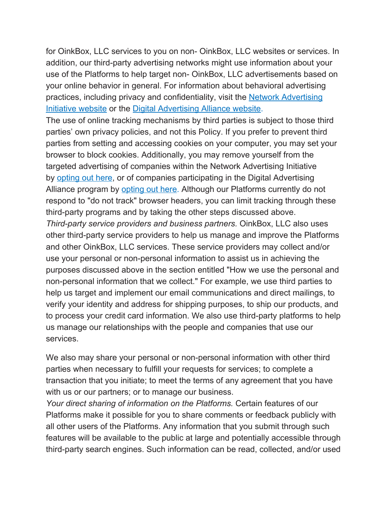for OinkBox, LLC services to you on non- OinkBox, LLC websites or services. In addition, our third-party advertising networks might use information about your use of the Platforms to help target non- OinkBox, LLC advertisements based on your online behavior in general. For information about behavioral advertising practices, including privacy and confidentiality, visit the Network [Advertising](http://www.networkadvertising.org/understanding-online-advertising) [Initiative](http://www.networkadvertising.org/understanding-online-advertising) website or the Digital [Advertising](http://www.aboutads.info/) Alliance website.

The use of online tracking mechanisms by third parties is subject to those third parties' own privacy policies, and not this Policy. If you prefer to prevent third parties from setting and accessing cookies on your computer, you may set your browser to block cookies. Additionally, you may remove yourself from the targeted advertising of companies within the Network Advertising Initiative by [opting](http://www.networkadvertising.org/choices/) out here, or of companies participating in the Digital Advertising Alliance program by [opting](http://www.aboutads.info/choices) out here. Although our Platforms currently do not respond to "do not track" browser headers, you can limit tracking through these third-party programs and by taking the other steps discussed above.

*Third-party service providers and business partners.* OinkBox, LLC also uses other third-party service providers to help us manage and improve the Platforms and other OinkBox, LLC services. These service providers may collect and/or use your personal or non-personal information to assist us in achieving the purposes discussed above in the section entitled "How we use the personal and non-personal information that we collect." For example, we use third parties to help us target and implement our email communications and direct mailings, to verify your identity and address for shipping purposes, to ship our products, and to process your credit card information. We also use third-party platforms to help us manage our relationships with the people and companies that use our services.

We also may share your personal or non-personal information with other third parties when necessary to fulfill your requests for services; to complete a transaction that you initiate; to meet the terms of any agreement that you have with us or our partners; or to manage our business.

*Your direct sharing of information on the Platforms.* Certain features of our Platforms make it possible for you to share comments or feedback publicly with all other users of the Platforms. Any information that you submit through such features will be available to the public at large and potentially accessible through third-party search engines. Such information can be read, collected, and/or used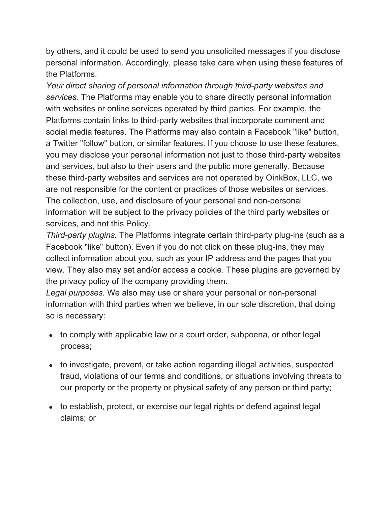by others, and it could be used to send you unsolicited messages if you disclose personal information. Accordingly, please take care when using these features of the Platforms.

*Your direct sharing of personal information through third-party websites and services.* The Platforms may enable you to share directly personal information with websites or online services operated by third parties. For example, the Platforms contain links to third-party websites that incorporate comment and social media features. The Platforms may also contain a Facebook "like" button, a Twitter "follow" button, or similar features. If you choose to use these features, you may disclose your personal information not just to those third-party websites and services, but also to their users and the public more generally. Because these third-party websites and services are not operated by OinkBox, LLC, we are not responsible for the content or practices of those websites or services. The collection, use, and disclosure of your personal and non-personal information will be subject to the privacy policies of the third party websites or services, and not this Policy.

*Third-party plugins.* The Platforms integrate certain third-party plug-ins (such as a Facebook "like" button). Even if you do not click on these plug-ins, they may collect information about you, such as your IP address and the pages that you view. They also may set and/or access a cookie. These plugins are governed by the privacy policy of the company providing them.

*Legal purposes.* We also may use or share your personal or non-personal information with third parties when we believe, in our sole discretion, that doing so is necessary:

- to comply with applicable law or a court order, subpoena, or other legal process;
- to investigate, prevent, or take action regarding illegal activities, suspected fraud, violations of our terms and conditions, or situations involving threats to our property or the property or physical safety of any person or third party;
- to establish, protect, or exercise our legal rights or defend against legal claims; or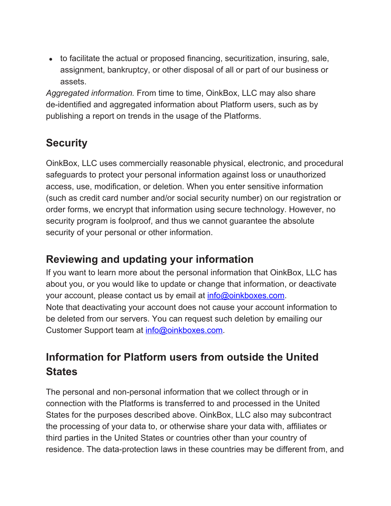• to facilitate the actual or proposed financing, securitization, insuring, sale, assignment, bankruptcy, or other disposal of all or part of our business or assets.

*Aggregated information.* From time to time, OinkBox, LLC may also share de-identified and aggregated information about Platform users, such as by publishing a report on trends in the usage of the Platforms.

## **Security**

OinkBox, LLC uses commercially reasonable physical, electronic, and procedural safeguards to protect your personal information against loss or unauthorized access, use, modification, or deletion. When you enter sensitive information (such as credit card number and/or social security number) on our registration or order forms, we encrypt that information using secure technology. However, no security program is foolproof, and thus we cannot guarantee the absolute security of your personal or other information.

#### **Reviewing and updating your information**

If you want to learn more about the personal information that OinkBox, LLC has about you, or you would like to update or change that information, or deactivate your account, please contact us by email at [info@oinkboxes.com.](mailto:info@oinkboxes.com) Note that deactivating your account does not cause your account information to be deleted from our servers. You can request such deletion by emailing our Customer Support team at [info@oinkboxes.com.](mailto:info@oinkboxes.com)

# **Information for Platform users from outside the United States**

The personal and non-personal information that we collect through or in connection with the Platforms is transferred to and processed in the United States for the purposes described above. OinkBox, LLC also may subcontract the processing of your data to, or otherwise share your data with, affiliates or third parties in the United States or countries other than your country of residence. The data-protection laws in these countries may be different from, and